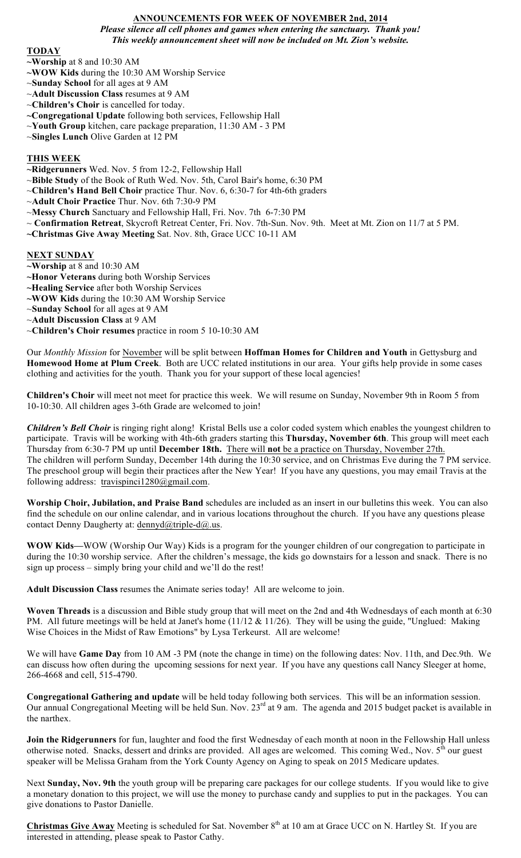## **ANNOUNCEMENTS FOR WEEK OF NOVEMBER 2nd, 2014**

*Please silence all cell phones and games when entering the sanctuary. Thank you! This weekly announcement sheet will now be included on Mt. Zion's website.*

#### **TODAY**

**~Worship** at 8 and 10:30 AM

- **~WOW Kids** during the 10:30 AM Worship Service
- ~**Sunday School** for all ages at 9 AM
- ~**Adult Discussion Class** resumes at 9 AM
- ~**Children's Choir** is cancelled for today.
- **~Congregational Update** following both services, Fellowship Hall
- ~**Youth Group** kitchen, care package preparation, 11:30 AM 3 PM
- ~**Singles Lunch** Olive Garden at 12 PM

### **THIS WEEK**

**~Ridgerunners** Wed. Nov. 5 from 12-2, Fellowship Hall

- ~**Bible Study** of the Book of Ruth Wed. Nov. 5th, Carol Bair's home, 6:30 PM
- ~**Children's Hand Bell Choir** practice Thur. Nov. 6, 6:30-7 for 4th-6th graders
- ~**Adult Choir Practice** Thur. Nov. 6th 7:30-9 PM
- ~**Messy Church** Sanctuary and Fellowship Hall, Fri. Nov. 7th 6-7:30 PM
- ~ **Confirmation Retreat**, Skycroft Retreat Center, Fri. Nov. 7th-Sun. Nov. 9th. Meet at Mt. Zion on 11/7 at 5 PM.
- **~Christmas Give Away Meeting** Sat. Nov. 8th, Grace UCC 10-11 AM

#### **NEXT SUNDAY**

- **~Worship** at 8 and 10:30 AM
- **~Honor Veterans** during both Worship Services
- **~Healing Service** after both Worship Services
- **~WOW Kids** during the 10:30 AM Worship Service
- ~**Sunday School** for all ages at 9 AM
- ~**Adult Discussion Class** at 9 AM
- ~**Children's Choir resumes** practice in room 5 10-10:30 AM

Our *Monthly Mission* for November will be split between **Hoffman Homes for Children and Youth** in Gettysburg and **Homewood Home at Plum Creek**. Both are UCC related institutions in our area. Your gifts help provide in some cases clothing and activities for the youth. Thank you for your support of these local agencies!

**Children's Choir** will meet not meet for practice this week. We will resume on Sunday, November 9th in Room 5 from 10-10:30. All children ages 3-6th Grade are welcomed to join!

*Children's Bell Choir* is ringing right along! Kristal Bells use a color coded system which enables the youngest children to participate. Travis will be working with 4th-6th graders starting this **Thursday, November 6th**. This group will meet each Thursday from 6:30-7 PM up until **December 18th.** There will **not** be a practice on Thursday, November 27th. The children will perform Sunday, December 14th during the 10:30 service, and on Christmas Eve during the 7 PM service. The preschool group will begin their practices after the New Year! If you have any questions, you may email Travis at the following address: travispinci1280@gmail.com.

**Worship Choir, Jubilation, and Praise Band** schedules are included as an insert in our bulletins this week. You can also find the schedule on our online calendar, and in various locations throughout the church. If you have any questions please contact Denny Daugherty at: dennyd@triple-d@.us.

**WOW Kids—**WOW (Worship Our Way) Kids is a program for the younger children of our congregation to participate in during the 10:30 worship service. After the children's message, the kids go downstairs for a lesson and snack. There is no sign up process – simply bring your child and we'll do the rest!

**Adult Discussion Class** resumes the Animate series today! All are welcome to join.

**Woven Threads** is a discussion and Bible study group that will meet on the 2nd and 4th Wednesdays of each month at 6:30 PM. All future meetings will be held at Janet's home (11/12 & 11/26). They will be using the guide, "Unglued: Making Wise Choices in the Midst of Raw Emotions" by Lysa Terkeurst. All are welcome!

We will have **Game Day** from 10 AM -3 PM (note the change in time) on the following dates: Nov. 11th, and Dec.9th. We can discuss how often during the upcoming sessions for next year. If you have any questions call Nancy Sleeger at home, 266-4668 and cell, 515-4790.

**Congregational Gathering and update** will be held today following both services. This will be an information session. Our annual Congregational Meeting will be held Sun. Nov. 23<sup>rd</sup> at 9 am. The agenda and 2015 budget packet is available in the narthex.

**Join the Ridgerunners** for fun, laughter and food the first Wednesday of each month at noon in the Fellowship Hall unless otherwise noted. Snacks, dessert and drinks are provided. All ages are welcomed. This coming Wed., Nov. 5<sup>th</sup> our guest speaker will be Melissa Graham from the York County Agency on Aging to speak on 2015 Medicare updates.

Next **Sunday, Nov. 9th** the youth group will be preparing care packages for our college students. If you would like to give a monetary donation to this project, we will use the money to purchase candy and supplies to put in the packages. You can give donations to Pastor Danielle.

**Christmas Give Away** Meeting is scheduled for Sat. November 8<sup>th</sup> at 10 am at Grace UCC on N. Hartley St. If you are interested in attending, please speak to Pastor Cathy.